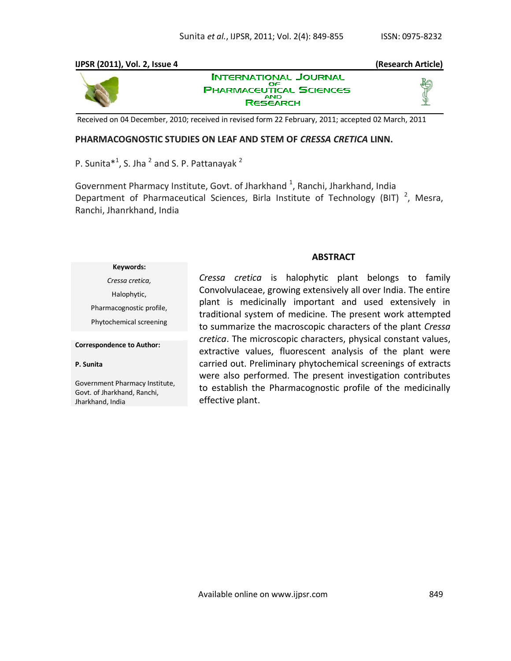# **IJPSR (2011), Vol. 2, Issue 4 (Research Article) INTERNATIONAL JOURNAL** ОF **PHARMACEUTICAL SCIENCES RESEARCH**

Received on 04 December, 2010; received in revised form 22 February, 2011; accepted 02 March, 2011

## **PHARMACOGNOSTIC STUDIES ON LEAF AND STEM OF** *CRESSA CRETICA* **LINN.**

P. Sunita $*^1$ , S. Jha  $^2$  and S. P. Pattanayak  $^2$ 

Government Pharmacy Institute, Govt. of Jharkhand  $^{1}$ , Ranchi, Jharkhand, India Department of Pharmaceutical Sciences, Birla Institute of Technology (BIT)<sup>2</sup>, Mesra, Ranchi, Jhanrkhand, India

## **ABSTRACT**

*Cressa cretica,*  Halophytic, Pharmacognostic profile, Phytochemical screening

**Keywords:**

### **Correspondence to Author:**

### **P. Sunita**

Government Pharmacy Institute, Govt. of Jharkhand, Ranchi, Jharkhand, India

*Cressa cretica* is halophytic plant belongs to family Convolvulaceae, growing extensively all over India. The entire plant is medicinally important and used extensively in traditional system of medicine. The present work attempted to summarize the macroscopic characters of the plant *Cressa cretica*. The microscopic characters, physical constant values, extractive values, fluorescent analysis of the plant were carried out. Preliminary phytochemical screenings of extracts were also performed. The present investigation contributes to establish the Pharmacognostic profile of the medicinally effective plant.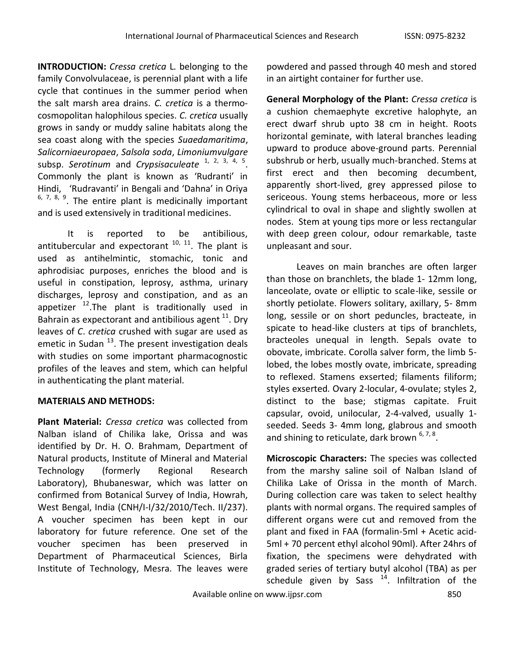**INTRODUCTION:** *Cressa cretica* L. belonging to the family Convolvulaceae, is perennial plant with a life cycle that continues in the summer period when the salt marsh area drains. *C. cretica* is a thermocosmopolitan halophilous species. *C. cretica* usually grows in sandy or muddy saline habitats along the sea coast along with the species *Suaedamaritima*, *Salicorniaeuropaea*, *Salsola soda*, *Limoniumvulgare* subsp. Serotinum and *Crypsisaculeate* <sup>1, 2, 3, 4, 5</sup>. Commonly the plant is known as 'Rudranti' in Hindi, 'Rudravanti' in Bengali and 'Dahna' in Oriya  $6, 7, 8, 9$ . The entire plant is medicinally important and is used extensively in traditional medicines.

It is reported to be antibilious, antitubercular and expectorant  $10$ ,  $11$ . The plant is used as antihelmintic, stomachic, tonic and aphrodisiac purposes, enriches the blood and is useful in constipation, leprosy, asthma, urinary discharges, leprosy and constipation, and as an appetizer  $^{12}$ . The plant is traditionally used in Bahrain as expectorant and antibilious agent  $^{11}$ . Dry leaves of *C*. *cretica* crushed with sugar are used as emetic in Sudan  $^{13}$ . The present investigation deals with studies on some important pharmacognostic profiles of the leaves and stem, which can helpful in authenticating the plant material.

# **MATERIALS AND METHODS:**

**Plant Material:** *Cressa cretica* was collected from Nalban island of Chilika lake, Orissa and was identified by Dr. H. O. Brahmam, Department of Natural products, Institute of Mineral and Material Technology (formerly Regional Research Laboratory), Bhubaneswar, which was latter on confirmed from Botanical Survey of India, Howrah, West Bengal, India (CNH/I-I/32/2010/Tech. II/237). A voucher specimen has been kept in our laboratory for future reference. One set of the voucher specimen has been preserved in Department of Pharmaceutical Sciences, Birla Institute of Technology, Mesra. The leaves were

powdered and passed through 40 mesh and stored in an airtight container for further use.

**General Morphology of the Plant:** *Cressa cretica* is a cushion chemaephyte excretive halophyte, an erect dwarf shrub upto 38 cm in height. Roots horizontal geminate, with lateral branches leading upward to produce above-ground parts. Perennial subshrub or herb, usually much-branched. Stems at first erect and then becoming decumbent, apparently short-lived, grey appressed pilose to sericeous. Young stems herbaceous, more or less cylindrical to oval in shape and slightly swollen at nodes. Stem at young tips more or less rectangular with deep green colour, odour remarkable, taste unpleasant and sour.

Leaves on main branches are often larger than those on branchlets, the blade 1- 12mm long, lanceolate, ovate or elliptic to scale-like, sessile or shortly petiolate. Flowers solitary, axillary, 5- 8mm long, sessile or on short peduncles, bracteate, in spicate to head-like clusters at tips of branchlets, bracteoles unequal in length. Sepals ovate to obovate, imbricate. Corolla salver form, the limb 5 lobed, the lobes mostly ovate, imbricate, spreading to reflexed. Stamens exserted; filaments filiform; styles exserted. Ovary 2-locular, 4-ovulate; styles 2, distinct to the base; stigmas capitate. Fruit capsular, ovoid, unilocular, 2-4-valved, usually 1 seeded. Seeds 3- 4mm long, glabrous and smooth and shining to reticulate, dark brown <sup>6, 7, 8</sup>.

**Microscopic Characters:** The species was collected from the marshy saline soil of Nalban Island of Chilika Lake of Orissa in the month of March. During collection care was taken to select healthy plants with normal organs. The required samples of different organs were cut and removed from the plant and fixed in FAA (formalin-5ml + Acetic acid-5ml + 70 percent ethyl alcohol 90ml). After 24hrs of fixation, the specimens were dehydrated with graded series of tertiary butyl alcohol (TBA) as per schedule given by Sass  $14$ . Infiltration of the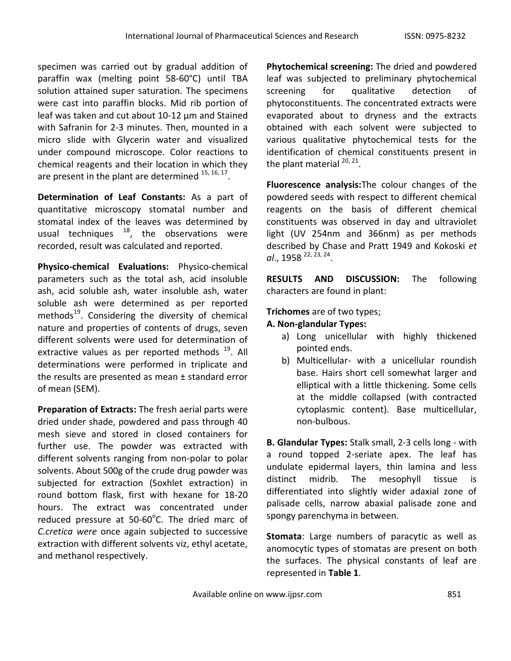specimen was carried out by gradual addition of paraffin wax (melting point 58-60°C) until TBA solution attained super saturation. The specimens were cast into paraffin blocks. Mid rib portion of leaf was taken and cut about 10-12 µm and Stained with Safranin for 2-3 minutes. Then, mounted in a micro slide with Glycerin water and visualized under compound microscope. Color reactions to chemical reagents and their location in which they are present in the plant are determined  $^{15, 16, 17}$ .

**Determination of Leaf Constants:** As a part of quantitative microscopy stomatal number and stomatal index of the leaves was determined by usual techniques  $18$ , the observations were recorded, result was calculated and reported.

**Physico-chemical Evaluations:** Physico-chemical parameters such as the total ash, acid insoluble ash, acid soluble ash, water insoluble ash, water soluble ash were determined as per reported methods<sup>19</sup>. Considering the diversity of chemical nature and properties of contents of drugs, seven different solvents were used for determination of extractive values as per reported methods <sup>19</sup>. All determinations were performed in triplicate and the results are presented as mean ± standard error of mean (SEM).

**Preparation of Extracts:** The fresh aerial parts were dried under shade, powdered and pass through 40 mesh sieve and stored in closed containers for further use. The powder was extracted with different solvents ranging from non-polar to polar solvents. About 500g of the crude drug powder was subjected for extraction (Soxhlet extraction) in round bottom flask, first with hexane for 18-20 hours. The extract was concentrated under reduced pressure at 50-60°C. The dried marc of *C.cretica were* once again subjected to successive extraction with different solvents viz, ethyl acetate, and methanol respectively.

**Phytochemical screening:** The dried and powdered leaf was subjected to preliminary phytochemical screening for qualitative detection of phytoconstituents. The concentrated extracts were evaporated about to dryness and the extracts obtained with each solvent were subjected to various qualitative phytochemical tests for the identification of chemical constituents present in the plant material <sup>20, 21</sup>.

**Fluorescence analysis:**The colour changes of the powdered seeds with respect to different chemical reagents on the basis of different chemical constituents was observed in day and ultraviolet light (UV 254nm and 366nm) as per methods described by Chase and Pratt 1949 and Kokoski *et*  al., 1958 <sup>22, 23, 24</sup>.

**RESULTS AND DISCUSSION:** The following characters are found in plant:

**Trichomes** are of two types;

# **A. Non-glandular Types:**

- a) Long unicellular with highly thickened pointed ends.
- b) Multicellular- with a unicellular roundish base. Hairs short cell somewhat larger and elliptical with a little thickening. Some cells at the middle collapsed (with contracted cytoplasmic content). Base multicellular, non-bulbous.

**B. Glandular Types:** Stalk small, 2-3 cells long - with a round topped 2-seriate apex. The leaf has undulate epidermal layers, thin lamina and less distinct midrib. The mesophyll tissue is differentiated into slightly wider adaxial zone of palisade cells, narrow abaxial palisade zone and spongy parenchyma in between.

**Stomata**: Large numbers of paracytic as well as anomocytic types of stomatas are present on both the surfaces. The physical constants of leaf are represented in **Table 1**.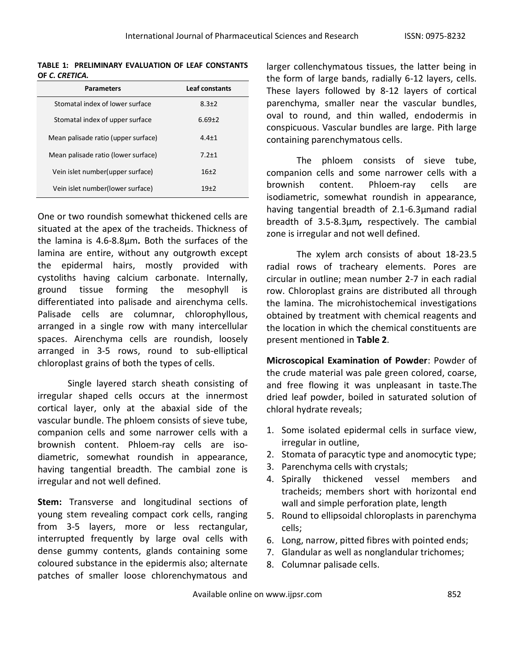**TABLE 1: PRELIMINARY EVALUATION OF LEAF CONSTANTS OF** *C. CRETICA.*

| <b>Parameters</b>                   | Leaf constants |
|-------------------------------------|----------------|
| Stomatal index of lower surface     | $8.3 + 2$      |
| Stomatal index of upper surface     | $6.69 + 2$     |
| Mean palisade ratio (upper surface) | $4.4 + 1$      |
| Mean palisade ratio (lower surface) | $7.2 + 1$      |
| Vein islet number(upper surface)    | $16+2$         |
| Vein islet number(lower surface)    | $19+2$         |

One or two roundish somewhat thickened cells are situated at the apex of the tracheids. Thickness of the lamina is 4.6-8.8µm*.* Both the surfaces of the lamina are entire, without any outgrowth except the epidermal hairs, mostly provided with cystoliths having calcium carbonate. Internally, ground tissue forming the mesophyll is differentiated into palisade and airenchyma cells. Palisade cells are columnar, chlorophyllous, arranged in a single row with many intercellular spaces. Airenchyma cells are roundish, loosely arranged in 3-5 rows, round to sub-elliptical chloroplast grains of both the types of cells.

Single layered starch sheath consisting of irregular shaped cells occurs at the innermost cortical layer, only at the abaxial side of the vascular bundle. The phloem consists of sieve tube, companion cells and some narrower cells with a brownish content. Phloem-ray cells are isodiametric, somewhat roundish in appearance, having tangential breadth. The cambial zone is irregular and not well defined.

**Stem:** Transverse and longitudinal sections of young stem revealing compact cork cells, ranging from 3-5 layers, more or less rectangular, interrupted frequently by large oval cells with dense gummy contents, glands containing some coloured substance in the epidermis also; alternate patches of smaller loose chlorenchymatous and

larger collenchymatous tissues, the latter being in the form of large bands, radially 6-12 layers, cells*.*  These layers followed by 8-12 layers of cortical parenchyma, smaller near the vascular bundles, oval to round, and thin walled, endodermis in conspicuous. Vascular bundles are large. Pith large containing parenchymatous cells.

The phloem consists of sieve tube, companion cells and some narrower cells with a brownish content. Phloem-ray cells are isodiametric, somewhat roundish in appearance, having tangential breadth of 2.1-6.3µmand radial breadth of 3.5-8.3µm*,* respectively. The cambial zone is irregular and not well defined.

The xylem arch consists of about 18-23.5 radial rows of tracheary elements. Pores are circular in outline; mean number 2-7 in each radial row. Chloroplast grains are distributed all through the lamina. The microhistochemical investigations obtained by treatment with chemical reagents and the location in which the chemical constituents are present mentioned in **Table 2**.

**Microscopical Examination of Powder**: Powder of the crude material was pale green colored, coarse, and free flowing it was unpleasant in taste.The dried leaf powder, boiled in saturated solution of chloral hydrate reveals;

- 1. Some isolated epidermal cells in surface view, irregular in outline,
- 2. Stomata of paracytic type and anomocytic type;
- 3. Parenchyma cells with crystals;
- 4. Spirally thickened vessel members and tracheids; members short with horizontal end wall and simple perforation plate, length
- 5. Round to ellipsoidal chloroplasts in parenchyma cells;
- 6. Long, narrow, pitted fibres with pointed ends;
- 7. Glandular as well as nonglandular trichomes;
- 8. Columnar palisade cells.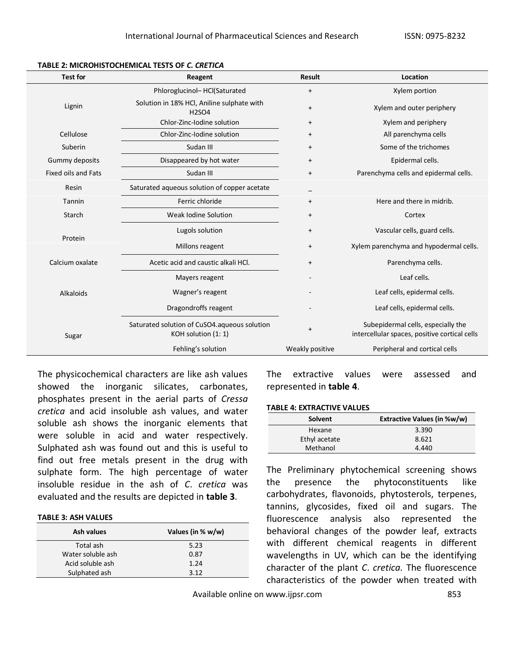| <b>Test for</b>                                       | Reagent                                                             | <b>Result</b>   | Location                                                                            |
|-------------------------------------------------------|---------------------------------------------------------------------|-----------------|-------------------------------------------------------------------------------------|
|                                                       | Phloroglucinol-HCl(Saturated                                        | $+$             | Xylem portion                                                                       |
| Lignin                                                | Solution in 18% HCl, Aniline sulphate with<br><b>H2SO4</b>          | $\ddot{}$       | Xylem and outer periphery                                                           |
|                                                       | Chlor-Zinc-Iodine solution                                          | $\ddot{}$       | Xylem and periphery                                                                 |
| Cellulose                                             | Chlor-Zinc-Iodine solution                                          | $^{+}$          | All parenchyma cells                                                                |
| Suberin                                               | Sudan III                                                           | $\ddot{}$       | Some of the trichomes                                                               |
| Gummy deposits                                        | Disappeared by hot water                                            | $\ddot{}$       | Epidermal cells.                                                                    |
| <b>Fixed oils and Fats</b>                            | Sudan III<br>$\ddot{}$                                              |                 | Parenchyma cells and epidermal cells.                                               |
| Saturated aqueous solution of copper acetate<br>Resin |                                                                     |                 |                                                                                     |
| Ferric chloride<br>Tannin                             |                                                                     | $\ddot{}$       | Here and there in midrib.                                                           |
| Starch                                                | Weak Iodine Solution                                                | $\ddot{}$       | Cortex                                                                              |
| Protein                                               | Lugols solution                                                     | $\ddot{}$       | Vascular cells, guard cells.                                                        |
|                                                       | Millons reagent                                                     | $\ddot{}$       | Xylem parenchyma and hypodermal cells.                                              |
| Calcium oxalate                                       | Acetic acid and caustic alkali HCl.                                 | $\ddot{}$       | Parenchyma cells.                                                                   |
|                                                       | Mayers reagent                                                      |                 | Leaf cells.                                                                         |
| Alkaloids                                             | Wagner's reagent                                                    |                 | Leaf cells, epidermal cells.                                                        |
|                                                       | Dragondroffs reagent                                                |                 | Leaf cells, epidermal cells.                                                        |
| Sugar                                                 | Saturated solution of CuSO4.aqueous solution<br>KOH solution (1: 1) | $\ddot{}$       | Subepidermal cells, especially the<br>intercellular spaces, positive cortical cells |
|                                                       | Fehling's solution                                                  | Weakly positive | Peripheral and cortical cells                                                       |

### **TABLE 2: MICROHISTOCHEMICAL TESTS OF** *C. CRETICA*

The physicochemical characters are like ash values showed the inorganic silicates, carbonates, phosphates present in the aerial parts of *Cressa cretica* and acid insoluble ash values, and water soluble ash shows the inorganic elements that were soluble in acid and water respectively. Sulphated ash was found out and this is useful to find out free metals present in the drug with sulphate form. The high percentage of water insoluble residue in the ash of *C*. *cretica* was evaluated and the results are depicted in **table 3**.

### **TABLE 3: ASH VALUES**

| Ash values        | Values (in % w/w) |
|-------------------|-------------------|
| Total ash         | 5.23              |
| Water soluble ash | 0.87              |
| Acid soluble ash  | 1.24              |
| Sulphated ash     | 312               |

The extractive values were assessed and represented in **table 4**.

### **TABLE 4: EXTRACTIVE VALUES**

| Solvent       | <b>Extractive Values (in %w/w)</b> |
|---------------|------------------------------------|
| Hexane        | 3.390                              |
| Ethyl acetate | 8.621                              |
| Methanol      | 4.440                              |

The Preliminary phytochemical screening shows the presence the phytoconstituents like carbohydrates, flavonoids, phytosterols, terpenes, tannins, glycosides, fixed oil and sugars. The fluorescence analysis also represented the behavioral changes of the powder leaf, extracts with different chemical reagents in different wavelengths in UV, which can be the identifying character of the plant *C*. *cretica.* The fluorescence characteristics of the powder when treated with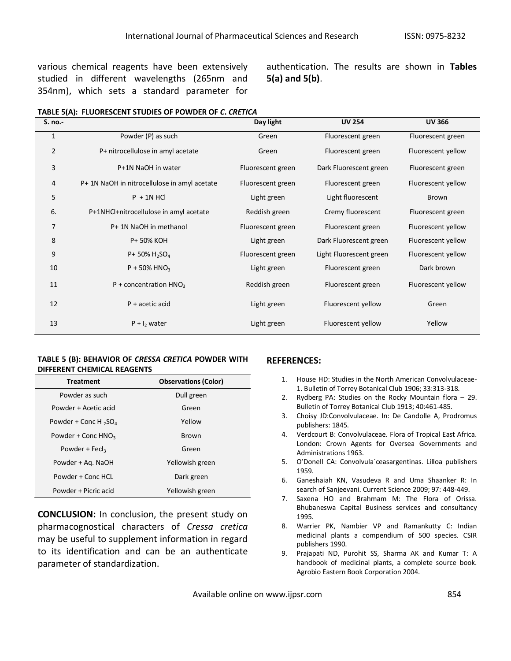various chemical reagents have been extensively studied in different wavelengths (265nm and 354nm), which sets a standard parameter for

authentication. The results are shown in **Tables 5(a) and 5(b)**.

|  | TABLE 5(A): FLUORESCENT STUDIES OF POWDER OF C. CRETICA |
|--|---------------------------------------------------------|
|--|---------------------------------------------------------|

| S. no.-        |                                              | Day light         | <b>UV 254</b>           | <b>UV 366</b>      |
|----------------|----------------------------------------------|-------------------|-------------------------|--------------------|
| 1              | Powder (P) as such                           | Green             | Fluorescent green       | Fluorescent green  |
| $\overline{2}$ | P+ nitrocellulose in amyl acetate            | Green             | Fluorescent green       | Fluorescent yellow |
| 3              | P+1N NaOH in water                           | Fluorescent green | Dark Fluorescent green  | Fluorescent green  |
| 4              | P+ 1N NaOH in nitrocellulose in amyl acetate | Fluorescent green | Fluorescent green       | Fluorescent yellow |
| 5              | $P + 1N$ HCl                                 | Light green       | Light fluorescent       | Brown              |
| 6.             | P+1NHCl+nitrocellulose in amyl acetate       | Reddish green     | Cremy fluorescent       | Fluorescent green  |
| 7              | P+ 1N NaOH in methanol                       | Fluorescent green | Fluorescent green       | Fluorescent yellow |
| 8              | P+ 50% KOH                                   | Light green       | Dark Fluorescent green  | Fluorescent yellow |
| 9              | P+ 50% $H_2SO_4$                             | Fluorescent green | Light Fluorescent green | Fluorescent yellow |
| 10             | $P + 50\%$ HNO <sub>3</sub>                  | Light green       | Fluorescent green       | Dark brown         |
| 11             | $P$ + concentration $HNO3$                   | Reddish green     | Fluorescent green       | Fluorescent yellow |
| 12             | $P +$ acetic acid                            | Light green       | Fluorescent yellow      | Green              |
| 13             | $P + I_2$ water                              | Light green       | Fluorescent yellow      | Yellow             |

## **TABLE 5 (B): BEHAVIOR OF** *CRESSA CRETICA* **POWDER WITH DIFFERENT CHEMICAL REAGENTS**

| <b>Treatment</b>                     | <b>Observations (Color)</b> |
|--------------------------------------|-----------------------------|
| Powder as such                       | Dull green                  |
| Powder + Acetic acid                 | Green                       |
| Powder + Conc H $_2$ SO <sub>4</sub> | Yellow                      |
| Powder + Conc $HNO3$                 | Brown                       |
| Powder + Fecl <sub>3</sub>           | Green                       |
| Powder + Ag. NaOH                    | Yellowish green             |
| Powder + Conc HCL                    | Dark green                  |
| Powder + Picric acid                 | Yellowish green             |

**CONCLUSION:** In conclusion, the present study on pharmacognostical characters of *Cressa cretica* may be useful to supplement information in regard to its identification and can be an authenticate parameter of standardization.

## **REFERENCES:**

- 1. House HD: Studies in the North American Convolvulaceae-1. Bulletin of Torrey Botanical Club 1906; 33:313-318.
- 2. Rydberg PA: Studies on the Rocky Mountain flora 29. Bulletin of Torrey Botanical Club 1913; 40:461-485.
- 3. Choisy JD:Convolvulaceae. In: De Candolle A, Prodromus publishers: 1845.
- 4. Verdcourt B: Convolvulaceae. Flora of Tropical East Africa. London: Crown Agents for Oversea Governments and Administrations 1963.
- 5. O'Donell CA: Convolvula´ceasargentinas. Lilloa publishers 1959.
- 6. Ganeshaiah KN, Vasudeva R and Uma Shaanker R: In search of Sanjeevani. Current Science 2009; 97: 448-449.
- 7. Saxena HO and Brahmam M: The Flora of Orissa. Bhubaneswa Capital Business services and consultancy 1995.
- 8. Warrier PK, Nambier VP and Ramankutty C: Indian medicinal plants a compendium of 500 species. CSIR publishers 1990.
- 9. Prajapati ND, Purohit SS, Sharma AK and Kumar T: A handbook of medicinal plants, a complete source book. Agrobio Eastern Book Corporation 2004.

Available online on www.ijpsr.com  $854$